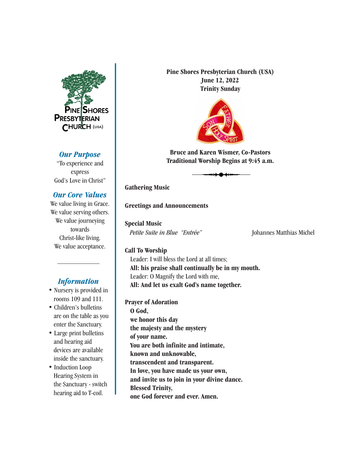

## *Our Purpose*

"To experience and express God's Love in Christ"

## *Our Core Values*

We value living in Grace. We value serving others. We value journeying towards Christ-like living. We value acceptance.

# *Information*

- Nursery is provided in rooms 109 and 111.
- Children's bulletins are on the table as you enter the Sanctuary.
- Large print bulletins and hearing aid devices are available inside the sanctuary.
- Induction Loop Hearing System in the Sanctuary - switch hearing aid to T-coil.

**Pine Shores Presbyterian Church (USA) June 12, 2022 Trinity Sunday**



**Bruce and Karen Wismer, Co-Pastors Traditional Worship Begins at 9:45 a.m.**

**Gathering Music**

### **Greetings and Announcements**

**Special Music** Petite Suite in Blue "Entrée" [Johannes Matthias Michel

### **Call To Worship**

Leader: I will bless the Lord at all times; **All: his praise shall continually be in my mouth.** Leader: O Magnify the Lord with me, **All: And let us exalt God's name together.**

**Prayer of Adoration**

**O God, we honor this day the majesty and the mystery of your name. You are both infinite and intimate, known and unknowable, transcendent and transparent. In love, you have made us your own, and invite us to join in your divine dance. Blessed Trinity, one God forever and ever. Amen.**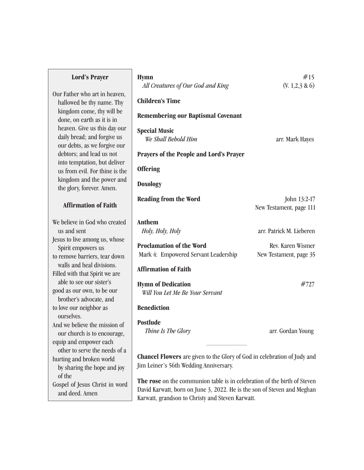#### **Lord's Prayer**

Our Father who art in heaven, hallowed be thy name. Thy kingdom come, thy will be done, on earth as it is in heaven. Give us this day our daily bread; and forgive us our debts, as we forgive our debtors; and lead us not into temptation, but deliver us from evil. For thine is the kingdom and the power and the glory, forever. Amen.

## **Affirmation of Faith**

We believe in God who created us and sent Jesus to live among us, whose Spirit empowers us to remove barriers, tear down walls and heal divisions. Filled with that Spirit we are able to see our sister's good as our own, to be our brother's advocate, and to love our neighbor as ourselves. And we believe the mission of our church is to encourage, equip and empower each other to serve the needs of a hurting and broken world by sharing the hope and joy of the Gospel of Jesus Christ in word and deed. Amen

| <b>Hymn</b><br>All Creatures of Our God and King                                                                          | #15<br>$(V. 1,2,3 \& 6)$                    |
|---------------------------------------------------------------------------------------------------------------------------|---------------------------------------------|
| <b>Children's Time</b>                                                                                                    |                                             |
| <b>Remembering our Baptismal Covenant</b>                                                                                 |                                             |
| <b>Special Music</b><br>We Shall Behold Him                                                                               | arr. Mark Hayes                             |
| <b>Prayers of the People and Lord's Prayer</b>                                                                            |                                             |
| <b>Offering</b>                                                                                                           |                                             |
| <b>Doxology</b>                                                                                                           |                                             |
| <b>Reading from the Word</b>                                                                                              | John 13:2-17<br>New Testament, page 111     |
| <b>Anthem</b>                                                                                                             |                                             |
| Holy, Holy, Holy                                                                                                          | arr. Patrick M. Lieberen                    |
| <b>Proclamation of the Word</b><br>Mark 4: Empowered Servant Leadership                                                   | Rev. Karen Wismer<br>New Testament, page 35 |
| <b>Affirmation of Faith</b>                                                                                               |                                             |
| <b>Hymn of Dedication</b><br>Will You Let Me Be Your Servant                                                              | #727                                        |
| <b>Benediction</b>                                                                                                        |                                             |
| <b>Postlude</b><br>Thine Is The Glory                                                                                     | arr. Gordan Young                           |
| <b>Chancel Flowers</b> are given to the Glory of God in celebration of Judy and<br>Jim Leiner's 56th Wedding Anniversary. |                                             |

**The rose** on the communion table is in celebration of the birth of Steven David Karwatt, born on June 3, 2022. He is the son of Steven and Meghan Karwatt, grandson to Christy and Steven Karwatt.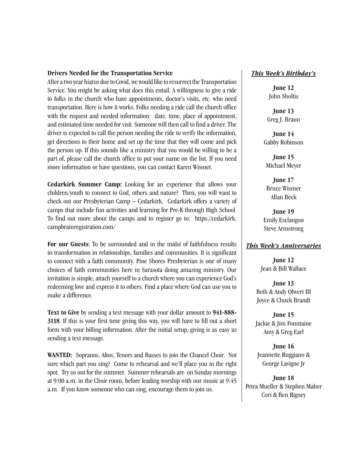#### **Drivers Needed for the Transportation Service**

After a two year hiatus due to Covid, we would like to resurrect the Transportation Service. You might be asking what does this entail. A willingness to give a ride to folks in the church who have appointments, doctor's visits, etc. who need transportation. Here is how it works. Folks needing a ride call the church office with the request and needed information: date, time, place of appointment, and estimated time needed for visit. Someone will then call to find a driver. The driver is expected to call the person needing the ride to verify the information, get directions to their home and set up the time that they will come and pick the person up. If this sounds like a ministry that you would be willing to be a part of, please call the church office to put your name on the list. If you need more information or have questions, you can contact Karen Wismer.

**Cedarkirk Summer Camp:** Looking for an experience that allows your children/youth to connect to God, others and nature? Then, you will want to check out our Presbyterian Camp – Cedarkirk. Cedarkirk offers a variety of camps that include fun activities and learning for Pre-K through High School. To find out more about the camps and to register go to: https://cedarkirk. campbrainregistration.com/

**For our Guests**: To be surrounded and in the midst of faithfulness results in transformation in relationships, families and communities. It is significant to connect with a faith community. Pine Shores Presbyterian is one of many choices of faith communities here in Sarasota doing amazing ministry. Our invitation is simple, attach yourself to a church where you can experience God's redeeming love and express it to others. Find a place where God can use you to make a difference.

**Text to Give** by sending a text message with your dollar amount to **941-888- 3118**. If this is your first time giving this way, you will have to fill out a short form with your billing information. After the initial setup, giving is as easy as sending a text message.

**WANTED:** Sopranos, Altos, Tenors and Basses to join the Chancel Choir. Not sure which part you sing? Come to rehearsal and we'll place you in the right spot. Try us out for the summer. Summer rehearsals are on Sunday mornings at 9:00 a.m. in the Choir room, before leading worship with our music at 9:45 a.m. If you know someone who can sing, encourage them to join us.

#### *This Week's Birthday's*

**June 12** John Sholtis

**June 13** Greg J. Braun

**June 14** Gabby Robinson

**June 15** Michael Meyer

**June 17** Bruce Wismer Allan Beck

**June 19** Emily Esclangon Steve Armstrong

#### *This Week's Anniversaries*

**June 12** Jean & Bill Wallace

**June 13** Beth & Andy Olwert III Joyce & Chuck Brandt

**June 15** Jackie & Jim Fountaine Amy & Greg Earl

**June 16** Jeannette Ruggiano & George Lavigne Jr

**June 18** Petra Mueller & Stephen Maher Cori & Ben Rigney